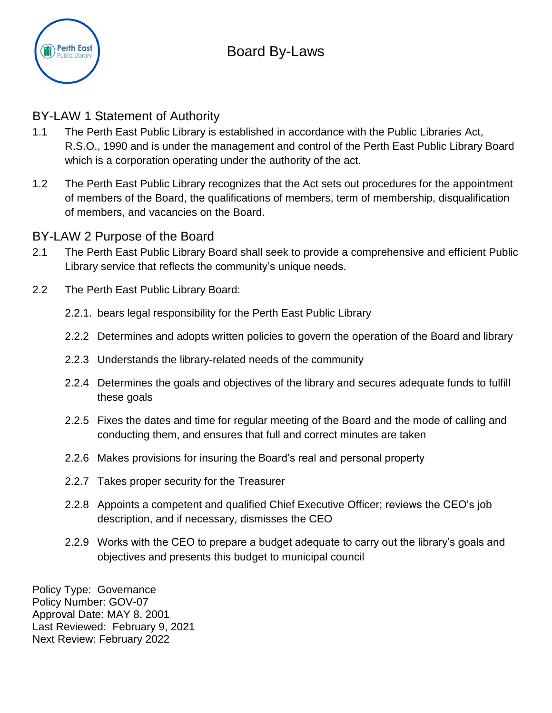

# BY-LAW 1 Statement of Authority

- 1.1 The Perth East Public Library is established in accordance with the Public Libraries Act, R.S.O., 1990 and is under the management and control of the Perth East Public Library Board which is a corporation operating under the authority of the act.
- 1.2 The Perth East Public Library recognizes that the Act sets out procedures for the appointment of members of the Board, the qualifications of members, term of membership, disqualification of members, and vacancies on the Board.

# BY-LAW 2 Purpose of the Board

- 2.1 The Perth East Public Library Board shall seek to provide a comprehensive and efficient Public Library service that reflects the community's unique needs.
- 2.2 The Perth East Public Library Board:
	- 2.2.1. bears legal responsibility for the Perth East Public Library
	- 2.2.2 Determines and adopts written policies to govern the operation of the Board and library
	- 2.2.3 Understands the library-related needs of the community
	- 2.2.4 Determines the goals and objectives of the library and secures adequate funds to fulfill these goals
	- 2.2.5 Fixes the dates and time for regular meeting of the Board and the mode of calling and conducting them, and ensures that full and correct minutes are taken
	- 2.2.6 Makes provisions for insuring the Board's real and personal property
	- 2.2.7 Takes proper security for the Treasurer
	- 2.2.8 Appoints a competent and qualified Chief Executive Officer; reviews the CEO's job description, and if necessary, dismisses the CEO
	- 2.2.9 Works with the CEO to prepare a budget adequate to carry out the library's goals and objectives and presents this budget to municipal council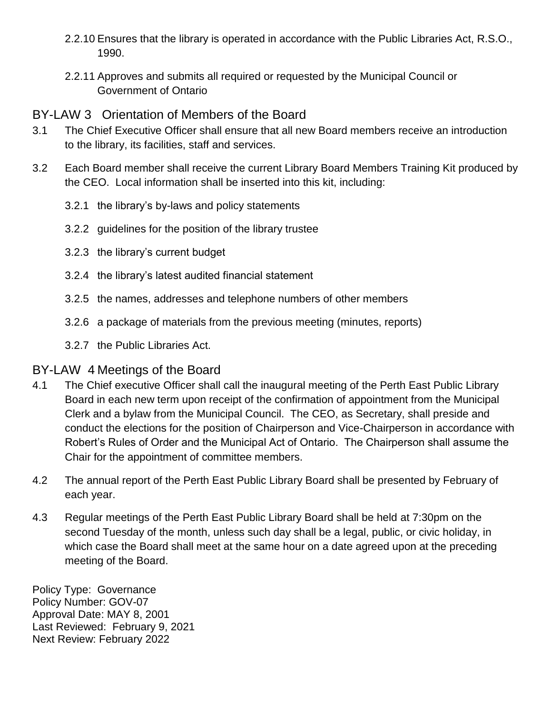- 2.2.10 Ensures that the library is operated in accordance with the Public Libraries Act, R.S.O., 1990.
- 2.2.11 Approves and submits all required or requested by the Municipal Council or Government of Ontario

## BY-LAW 3 Orientation of Members of the Board

- 3.1 The Chief Executive Officer shall ensure that all new Board members receive an introduction to the library, its facilities, staff and services.
- 3.2 Each Board member shall receive the current Library Board Members Training Kit produced by the CEO. Local information shall be inserted into this kit, including:
	- 3.2.1 the library's by-laws and policy statements
	- 3.2.2 guidelines for the position of the library trustee
	- 3.2.3 the library's current budget
	- 3.2.4 the library's latest audited financial statement
	- 3.2.5 the names, addresses and telephone numbers of other members
	- 3.2.6 a package of materials from the previous meeting (minutes, reports)
	- 3.2.7 the Public Libraries Act.

# BY-LAW 4 Meetings of the Board

- 4.1 The Chief executive Officer shall call the inaugural meeting of the Perth East Public Library Board in each new term upon receipt of the confirmation of appointment from the Municipal Clerk and a bylaw from the Municipal Council. The CEO, as Secretary, shall preside and conduct the elections for the position of Chairperson and Vice-Chairperson in accordance with Robert's Rules of Order and the Municipal Act of Ontario. The Chairperson shall assume the Chair for the appointment of committee members.
- 4.2 The annual report of the Perth East Public Library Board shall be presented by February of each year.
- 4.3 Regular meetings of the Perth East Public Library Board shall be held at 7:30pm on the second Tuesday of the month, unless such day shall be a legal, public, or civic holiday, in which case the Board shall meet at the same hour on a date agreed upon at the preceding meeting of the Board.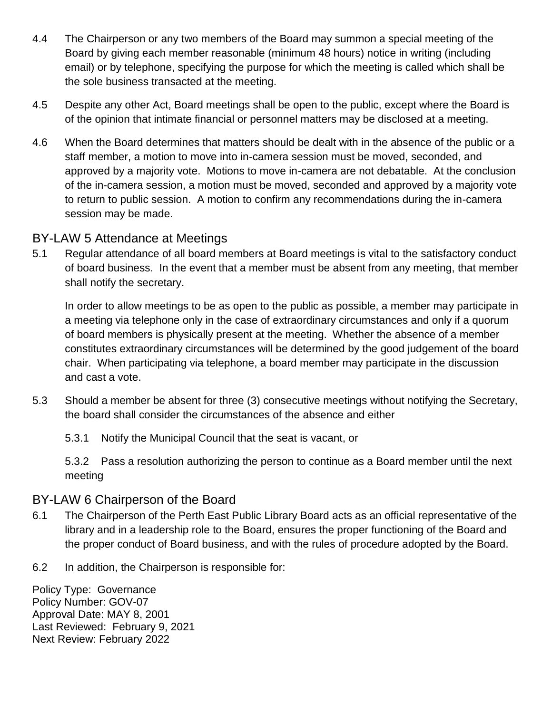- 4.4 The Chairperson or any two members of the Board may summon a special meeting of the Board by giving each member reasonable (minimum 48 hours) notice in writing (including email) or by telephone, specifying the purpose for which the meeting is called which shall be the sole business transacted at the meeting.
- 4.5 Despite any other Act, Board meetings shall be open to the public, except where the Board is of the opinion that intimate financial or personnel matters may be disclosed at a meeting.
- 4.6 When the Board determines that matters should be dealt with in the absence of the public or a staff member, a motion to move into in-camera session must be moved, seconded, and approved by a majority vote. Motions to move in-camera are not debatable. At the conclusion of the in-camera session, a motion must be moved, seconded and approved by a majority vote to return to public session. A motion to confirm any recommendations during the in-camera session may be made.

## BY-LAW 5 Attendance at Meetings

5.1 Regular attendance of all board members at Board meetings is vital to the satisfactory conduct of board business. In the event that a member must be absent from any meeting, that member shall notify the secretary.

In order to allow meetings to be as open to the public as possible, a member may participate in a meeting via telephone only in the case of extraordinary circumstances and only if a quorum of board members is physically present at the meeting. Whether the absence of a member constitutes extraordinary circumstances will be determined by the good judgement of the board chair. When participating via telephone, a board member may participate in the discussion and cast a vote.

- 5.3 Should a member be absent for three (3) consecutive meetings without notifying the Secretary, the board shall consider the circumstances of the absence and either
	- 5.3.1 Notify the Municipal Council that the seat is vacant, or

5.3.2 Pass a resolution authorizing the person to continue as a Board member until the next meeting

## BY-LAW 6 Chairperson of the Board

- 6.1 The Chairperson of the Perth East Public Library Board acts as an official representative of the library and in a leadership role to the Board, ensures the proper functioning of the Board and the proper conduct of Board business, and with the rules of procedure adopted by the Board.
- 6.2 In addition, the Chairperson is responsible for: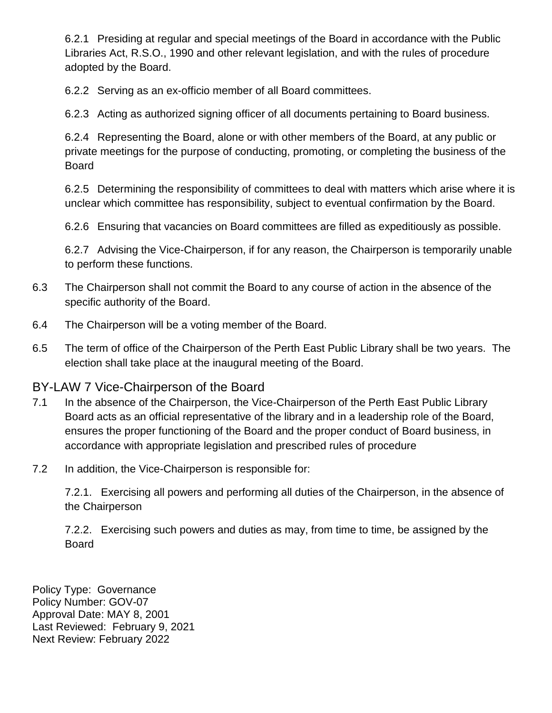6.2.1 Presiding at regular and special meetings of the Board in accordance with the Public Libraries Act, R.S.O., 1990 and other relevant legislation, and with the rules of procedure adopted by the Board.

6.2.2 Serving as an ex-officio member of all Board committees.

6.2.3 Acting as authorized signing officer of all documents pertaining to Board business.

6.2.4 Representing the Board, alone or with other members of the Board, at any public or private meetings for the purpose of conducting, promoting, or completing the business of the Board

6.2.5 Determining the responsibility of committees to deal with matters which arise where it is unclear which committee has responsibility, subject to eventual confirmation by the Board.

6.2.6 Ensuring that vacancies on Board committees are filled as expeditiously as possible.

6.2.7 Advising the Vice-Chairperson, if for any reason, the Chairperson is temporarily unable to perform these functions.

- 6.3 The Chairperson shall not commit the Board to any course of action in the absence of the specific authority of the Board.
- 6.4 The Chairperson will be a voting member of the Board.
- 6.5 The term of office of the Chairperson of the Perth East Public Library shall be two years. The election shall take place at the inaugural meeting of the Board.

# BY-LAW 7 Vice-Chairperson of the Board

- 7.1 In the absence of the Chairperson, the Vice-Chairperson of the Perth East Public Library Board acts as an official representative of the library and in a leadership role of the Board, ensures the proper functioning of the Board and the proper conduct of Board business, in accordance with appropriate legislation and prescribed rules of procedure
- 7.2 In addition, the Vice-Chairperson is responsible for:

7.2.1. Exercising all powers and performing all duties of the Chairperson, in the absence of the Chairperson

7.2.2. Exercising such powers and duties as may, from time to time, be assigned by the Board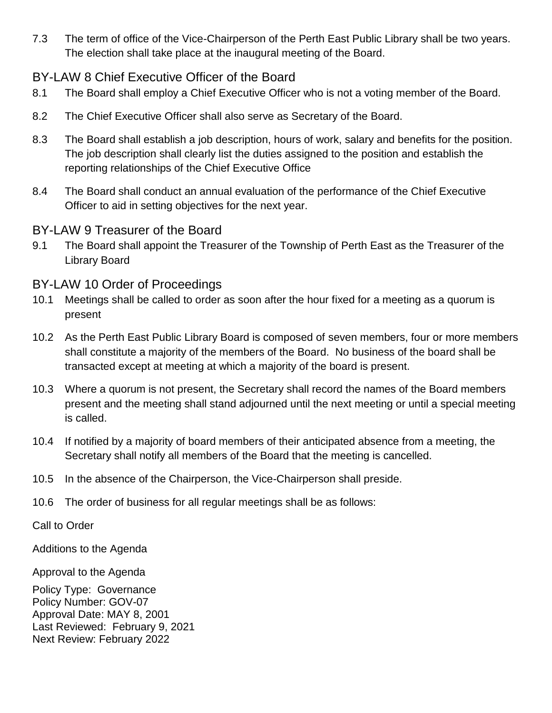7.3 The term of office of the Vice-Chairperson of the Perth East Public Library shall be two years. The election shall take place at the inaugural meeting of the Board.

# BY-LAW 8 Chief Executive Officer of the Board

- 8.1 The Board shall employ a Chief Executive Officer who is not a voting member of the Board.
- 8.2 The Chief Executive Officer shall also serve as Secretary of the Board.
- 8.3 The Board shall establish a job description, hours of work, salary and benefits for the position. The job description shall clearly list the duties assigned to the position and establish the reporting relationships of the Chief Executive Office
- 8.4 The Board shall conduct an annual evaluation of the performance of the Chief Executive Officer to aid in setting objectives for the next year.

## BY-LAW 9 Treasurer of the Board

9.1 The Board shall appoint the Treasurer of the Township of Perth East as the Treasurer of the Library Board

# BY-LAW 10 Order of Proceedings

- 10.1 Meetings shall be called to order as soon after the hour fixed for a meeting as a quorum is present
- 10.2 As the Perth East Public Library Board is composed of seven members, four or more members shall constitute a majority of the members of the Board. No business of the board shall be transacted except at meeting at which a majority of the board is present.
- 10.3 Where a quorum is not present, the Secretary shall record the names of the Board members present and the meeting shall stand adjourned until the next meeting or until a special meeting is called.
- 10.4 If notified by a majority of board members of their anticipated absence from a meeting, the Secretary shall notify all members of the Board that the meeting is cancelled.
- 10.5 In the absence of the Chairperson, the Vice-Chairperson shall preside.
- 10.6 The order of business for all regular meetings shall be as follows:

Call to Order

Additions to the Agenda

Approval to the Agenda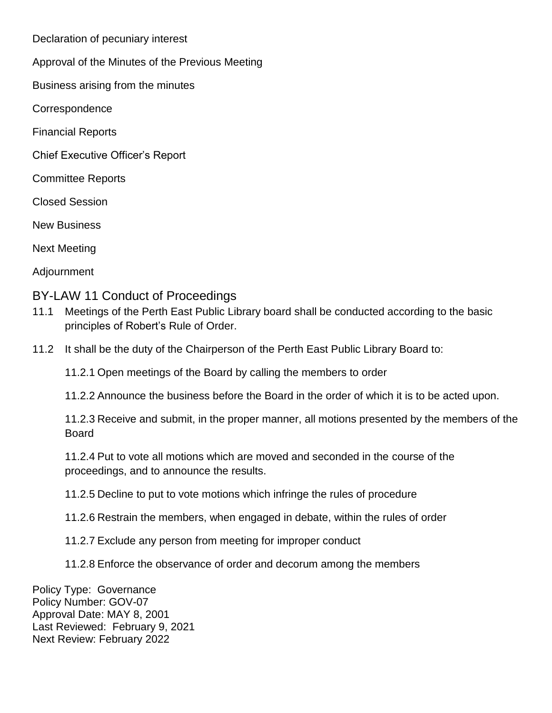Declaration of pecuniary interest

Approval of the Minutes of the Previous Meeting

Business arising from the minutes

**Correspondence** 

Financial Reports

Chief Executive Officer's Report

Committee Reports

Closed Session

New Business

Next Meeting

Adjournment

#### BY-LAW 11 Conduct of Proceedings

- 11.1 Meetings of the Perth East Public Library board shall be conducted according to the basic principles of Robert's Rule of Order.
- 11.2 It shall be the duty of the Chairperson of the Perth East Public Library Board to:

11.2.1 Open meetings of the Board by calling the members to order

11.2.2 Announce the business before the Board in the order of which it is to be acted upon.

11.2.3 Receive and submit, in the proper manner, all motions presented by the members of the **Board** 

11.2.4 Put to vote all motions which are moved and seconded in the course of the proceedings, and to announce the results.

- 11.2.5 Decline to put to vote motions which infringe the rules of procedure
- 11.2.6 Restrain the members, when engaged in debate, within the rules of order
- 11.2.7 Exclude any person from meeting for improper conduct
- 11.2.8 Enforce the observance of order and decorum among the members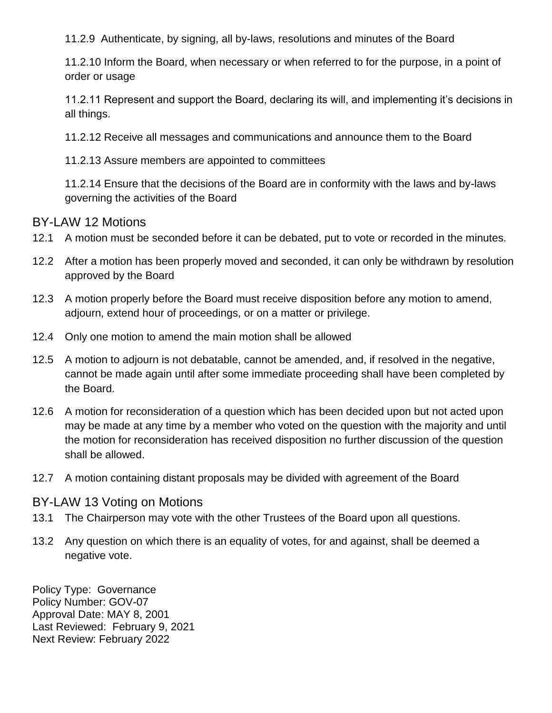11.2.9 Authenticate, by signing, all by-laws, resolutions and minutes of the Board

11.2.10 Inform the Board, when necessary or when referred to for the purpose, in a point of order or usage

11.2.11 Represent and support the Board, declaring its will, and implementing it's decisions in all things.

11.2.12 Receive all messages and communications and announce them to the Board

11.2.13 Assure members are appointed to committees

11.2.14 Ensure that the decisions of the Board are in conformity with the laws and by-laws governing the activities of the Board

#### BY-LAW 12 Motions

- 12.1 A motion must be seconded before it can be debated, put to vote or recorded in the minutes.
- 12.2 After a motion has been properly moved and seconded, it can only be withdrawn by resolution approved by the Board
- 12.3 A motion properly before the Board must receive disposition before any motion to amend, adjourn, extend hour of proceedings, or on a matter or privilege.
- 12.4 Only one motion to amend the main motion shall be allowed
- 12.5 A motion to adjourn is not debatable, cannot be amended, and, if resolved in the negative, cannot be made again until after some immediate proceeding shall have been completed by the Board.
- 12.6 A motion for reconsideration of a question which has been decided upon but not acted upon may be made at any time by a member who voted on the question with the majority and until the motion for reconsideration has received disposition no further discussion of the question shall be allowed.
- 12.7 A motion containing distant proposals may be divided with agreement of the Board

## BY-LAW 13 Voting on Motions

- 13.1 The Chairperson may vote with the other Trustees of the Board upon all questions.
- 13.2 Any question on which there is an equality of votes, for and against, shall be deemed a negative vote.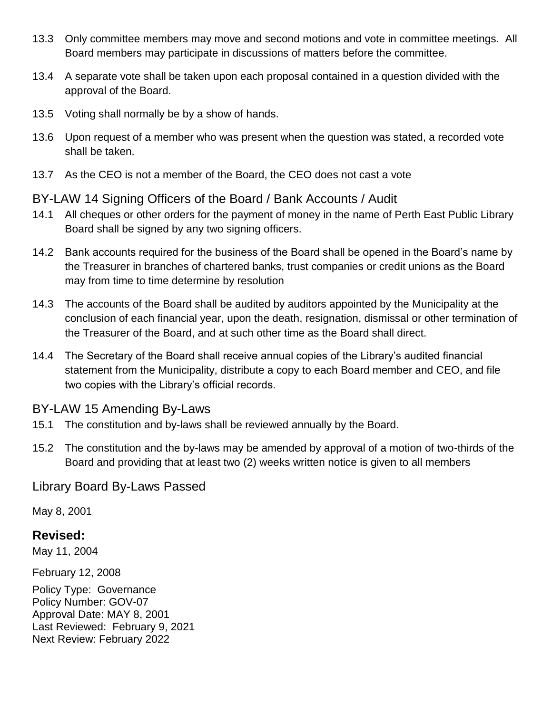- 13.3 Only committee members may move and second motions and vote in committee meetings. All Board members may participate in discussions of matters before the committee.
- 13.4 A separate vote shall be taken upon each proposal contained in a question divided with the approval of the Board.
- 13.5 Voting shall normally be by a show of hands.
- 13.6 Upon request of a member who was present when the question was stated, a recorded vote shall be taken.
- 13.7 As the CEO is not a member of the Board, the CEO does not cast a vote

## BY-LAW 14 Signing Officers of the Board / Bank Accounts / Audit

- 14.1 All cheques or other orders for the payment of money in the name of Perth East Public Library Board shall be signed by any two signing officers.
- 14.2 Bank accounts required for the business of the Board shall be opened in the Board's name by the Treasurer in branches of chartered banks, trust companies or credit unions as the Board may from time to time determine by resolution
- 14.3 The accounts of the Board shall be audited by auditors appointed by the Municipality at the conclusion of each financial year, upon the death, resignation, dismissal or other termination of the Treasurer of the Board, and at such other time as the Board shall direct.
- 14.4 The Secretary of the Board shall receive annual copies of the Library's audited financial statement from the Municipality, distribute a copy to each Board member and CEO, and file two copies with the Library's official records.

## BY-LAW 15 Amending By-Laws

- 15.1 The constitution and by-laws shall be reviewed annually by the Board.
- 15.2 The constitution and the by-laws may be amended by approval of a motion of two-thirds of the Board and providing that at least two (2) weeks written notice is given to all members

## Library Board By-Laws Passed

May 8, 2001

# **Revised:**

May 11, 2004

February 12, 2008